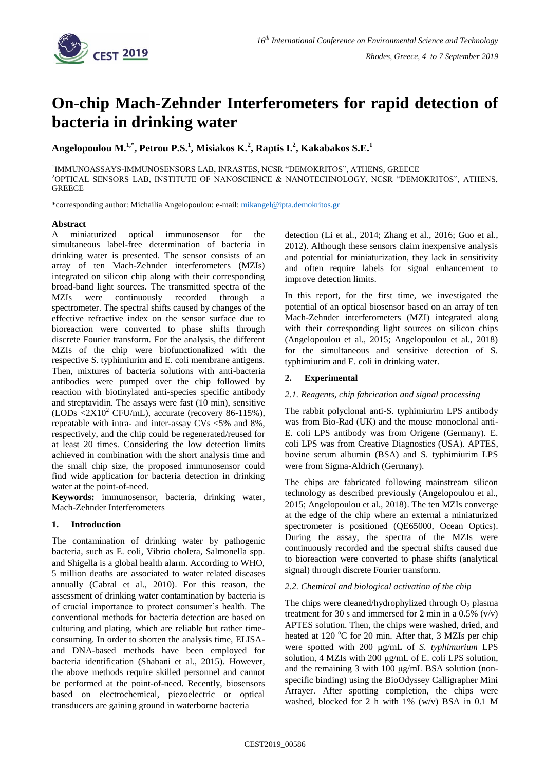

# **On-chip Mach-Zehnder Interferometers for rapid detection of bacteria in drinking water**

**Angelopoulou Μ.1,\* , Petrou P.S.<sup>1</sup> , Misiakos K.<sup>2</sup> , Raptis I.<sup>2</sup> , Kakabakos S.E.<sup>1</sup>**

<sup>1</sup>IMMUNOASSAYS-IMMUNOSENSORS LAB, INRASTES, NCSR "DEMOKRITOS", ATHENS, GREECE <sup>2</sup>OPTICAL SENSORS LAB, INSTITUTE OF NANOSCIENCE & NANOTECHNOLOGY, NCSR "DEMOKRITOS", ATHENS, **GREECE** 

\*corresponding author: Michailia Angelopoulou: e-mail: [mikangel@ipta.demokritos.gr](mailto:mikangel@ipta.demokritos.gr)

## **Abstract**

A miniaturized optical immunosensor for the simultaneous label-free determination of bacteria in drinking water is presented. The sensor consists of an array of ten Mach-Zehnder interferometers (MZIs) integrated on silicon chip along with their corresponding broad-band light sources. The transmitted spectra of the MZIs were continuously recorded through a spectrometer. The spectral shifts caused by changes of the effective refractive index on the sensor surface due to bioreaction were converted to phase shifts through discrete Fourier transform. For the analysis, the different MZIs of the chip were biofunctionalized with the respective S. typhimiurim and E. coli membrane antigens. Then, mixtures of bacteria solutions with anti-bacteria antibodies were pumped over the chip followed by reaction with biotinylated anti-species specific antibody and streptavidin. The assays were fast (10 min), sensitive  $(LODs < 2X10<sup>2</sup> CFU/mL)$ , accurate (recovery 86-115%), repeatable with intra- and inter-assay CVs <5% and 8%, respectively, and the chip could be regenerated/reused for at least 20 times. Considering the low detection limits achieved in combination with the short analysis time and the small chip size, the proposed immunosensor could find wide application for bacteria detection in drinking water at the point-of-need.

**Keywords:** immunosensor, bacteria, drinking water, Mach-Zehnder Interferometers

# **1. Introduction**

The contamination of drinking water by pathogenic bacteria, such as E. coli, Vibrio cholera, Salmonella spp. and Shigella is a global health alarm. According to WHO, 5 million deaths are associated to water related diseases annually (Cabral et al., 2010). For this reason, the assessment of drinking water contamination by bacteria is of crucial importance to protect consumer's health. The conventional methods for bacteria detection are based on culturing and plating, which are reliable but rather timeconsuming. In order to shorten the analysis time, ELISAand DNA-based methods have been employed for bacteria identification (Shabani et al., 2015). However, the above methods require skilled personnel and cannot be performed at the point-of-need. Recently, biosensors based on electrochemical, piezoelectric or optical transducers are gaining ground in waterborne bacteria

detection (Li et al., 2014; Zhang et al., 2016; Guo et al., 2012). Although these sensors claim inexpensive analysis and potential for miniaturization, they lack in sensitivity and often require labels for signal enhancement to improve detection limits.

In this report, for the first time, we investigated the potential of an optical biosensor based on an array of ten Mach-Zehnder interferometers (MZI) integrated along with their corresponding light sources on silicon chips (Angelopoulou et al., 2015; Angelopoulou et al., 2018) for the simultaneous and sensitive detection of S. typhimiurim and E. coli in drinking water.

# **2. Experimental**

# *2.1. Reagents, chip fabrication and signal processing*

The rabbit polyclonal anti-S. typhimiurim LPS antibody was from Bio-Rad (UK) and the mouse monoclonal anti-E. coli LPS antibody was from Origene (Germany). E. coli LPS was from Creative Diagnostics (USA). APTES, bovine serum albumin (BSA) and S. typhimiurim LPS were from Sigma-Aldrich (Germany).

The chips are fabricated following mainstream silicon technology as described previously (Angelopoulou et al., 2015; Angelopoulou et al., 2018). The ten MZIs converge at the edge of the chip where an external a miniaturized spectrometer is positioned (OE65000, Ocean Optics). During the assay, the spectra of the MZIs were continuously recorded and the spectral shifts caused due to bioreaction were converted to phase shifts (analytical signal) through discrete Fourier transform.

# *2.2. Chemical and biological activation of the chip*

The chips were cleaned/hydrophylized through  $O_2$  plasma treatment for 30 s and immersed for 2 min in a  $0.5\%$  (v/v) APTES solution. Then, the chips were washed, dried, and heated at 120  $^{\circ}$ C for 20 min. After that, 3 MZIs per chip were spotted with 200 μg/mL of *S. typhimurium* LPS solution, 4 MZIs with 200 μg/mL of E. coli LPS solution, and the remaining 3 with 100 μg/mL BSA solution (nonspecific binding) using the BioOdyssey Calligrapher Mini Arrayer. After spotting completion, the chips were washed, blocked for 2 h with 1% (w/v) BSA in 0.1 M